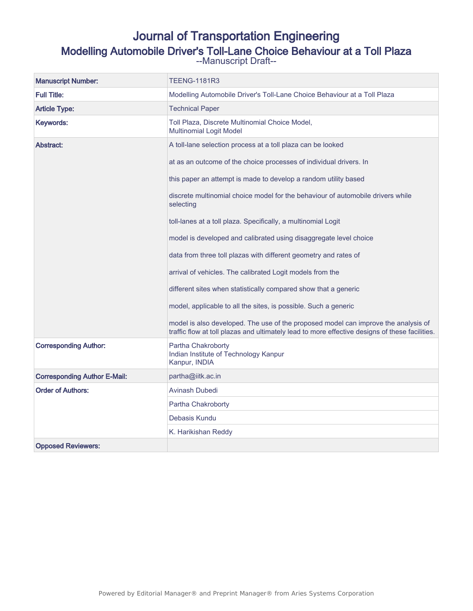# Journal of Transportation Engineering Modelling Automobile Driver's Toll-Lane Choice Behaviour at a Toll Plaza --Manuscript Draft--

| <b>Manuscript Number:</b>           | <b>TEENG-1181R3</b>                                                                                                                                                                  |
|-------------------------------------|--------------------------------------------------------------------------------------------------------------------------------------------------------------------------------------|
| <b>Full Title:</b>                  | Modelling Automobile Driver's Toll-Lane Choice Behaviour at a Toll Plaza                                                                                                             |
| <b>Article Type:</b>                | <b>Technical Paper</b>                                                                                                                                                               |
| Keywords:                           | Toll Plaza, Discrete Multinomial Choice Model,<br>Multinomial Logit Model                                                                                                            |
| Abstract:                           | A toll-lane selection process at a toll plaza can be looked                                                                                                                          |
|                                     | at as an outcome of the choice processes of individual drivers. In                                                                                                                   |
|                                     | this paper an attempt is made to develop a random utility based                                                                                                                      |
|                                     | discrete multinomial choice model for the behaviour of automobile drivers while<br>selecting                                                                                         |
|                                     | toll-lanes at a toll plaza. Specifically, a multinomial Logit                                                                                                                        |
|                                     | model is developed and calibrated using disaggregate level choice                                                                                                                    |
|                                     | data from three toll plazas with different geometry and rates of                                                                                                                     |
|                                     | arrival of vehicles. The calibrated Logit models from the                                                                                                                            |
|                                     | different sites when statistically compared show that a generic                                                                                                                      |
|                                     | model, applicable to all the sites, is possible. Such a generic                                                                                                                      |
|                                     | model is also developed. The use of the proposed model can improve the analysis of<br>traffic flow at toll plazas and ultimately lead to more effective designs of these facilities. |
| <b>Corresponding Author:</b>        | Partha Chakroborty<br>Indian Institute of Technology Kanpur<br>Kanpur, INDIA                                                                                                         |
| <b>Corresponding Author E-Mail:</b> | partha@iitk.ac.in                                                                                                                                                                    |
| <b>Order of Authors:</b>            | Avinash Dubedi                                                                                                                                                                       |
|                                     | Partha Chakroborty                                                                                                                                                                   |
|                                     | Debasis Kundu                                                                                                                                                                        |
|                                     | K. Harikishan Reddy                                                                                                                                                                  |
| <b>Opposed Reviewers:</b>           |                                                                                                                                                                                      |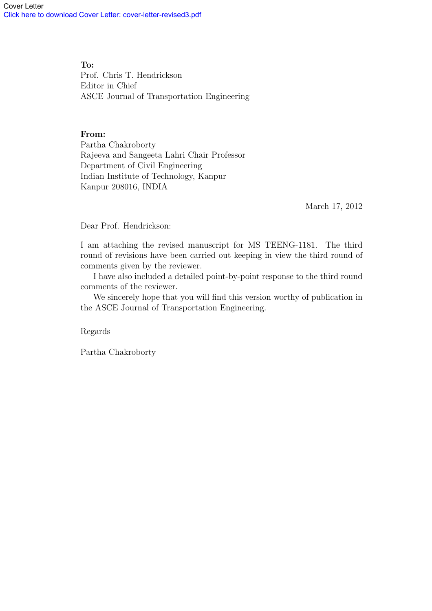To:

Prof. Chris T. Hendrickson Editor in Chief ASCE Journal of Transportation Engineering

#### From:

Partha Chakroborty Rajeeva and Sangeeta Lahri Chair Professor Department of Civil Engineering Indian Institute of Technology, Kanpur Kanpur 208016, INDIA

March 17, 2012

Dear Prof. Hendrickson:

I am attaching the revised manuscript for MS TEENG-1181. The third round of revisions have been carried out keeping in view the third round of comments given by the reviewer.

I have also included a detailed point-by-point response to the third round comments of the reviewer.

We sincerely hope that you will find this version worthy of publication in the ASCE Journal of Transportation Engineering.

Regards

Partha Chakroborty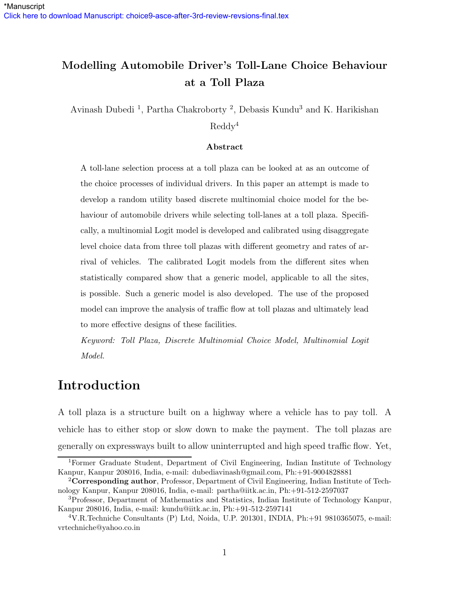# Modelling Automobile Driver's Toll-Lane Choice Behaviour at a Toll Plaza

Avinash Dubedi<sup>1</sup>, Partha Chakroborty<sup>2</sup>, Debasis Kundu<sup>3</sup> and K. Harikishan

 $Reddy^4$ 

#### Abstract

A toll-lane selection process at a toll plaza can be looked at as an outcome of the choice processes of individual drivers. In this paper an attempt is made to develop a random utility based discrete multinomial choice model for the behaviour of automobile drivers while selecting toll-lanes at a toll plaza. Specifically, a multinomial Logit model is developed and calibrated using disaggregate level choice data from three toll plazas with different geometry and rates of arrival of vehicles. The calibrated Logit models from the different sites when statistically compared show that a generic model, applicable to all the sites, is possible. Such a generic model is also developed. The use of the proposed model can improve the analysis of traffic flow at toll plazas and ultimately lead to more effective designs of these facilities.

*Keyword: Toll Plaza, Discrete Multinomial Choice Model, Multinomial Logit Model.*

# Introduction

A toll plaza is a structure built on a highway where a vehicle has to pay toll. A vehicle has to either stop or slow down to make the payment. The toll plazas are generally on expressways built to allow uninterrupted and high speed traffic flow. Yet,

<sup>1</sup>Former Graduate Student, Department of Civil Engineering, Indian Institute of Technology Kanpur, Kanpur 208016, India, e-mail: dubediavinash@gmail.com, Ph:+91-9004828881

<sup>&</sup>lt;sup>2</sup>Corresponding author, Professor, Department of Civil Engineering, Indian Institute of Technology Kanpur, Kanpur 208016, India, e-mail: partha@iitk.ac.in, Ph:+91-512-2597037

<sup>3</sup>Professor, Department of Mathematics and Statistics, Indian Institute of Technology Kanpur, Kanpur 208016, India, e-mail: kundu@iitk.ac.in, Ph:+91-512-2597141

<sup>4</sup>V.R.Techniche Consultants (P) Ltd, Noida, U.P. 201301, INDIA, Ph:+91 9810365075, e-mail: vrtechniche@yahoo.co.in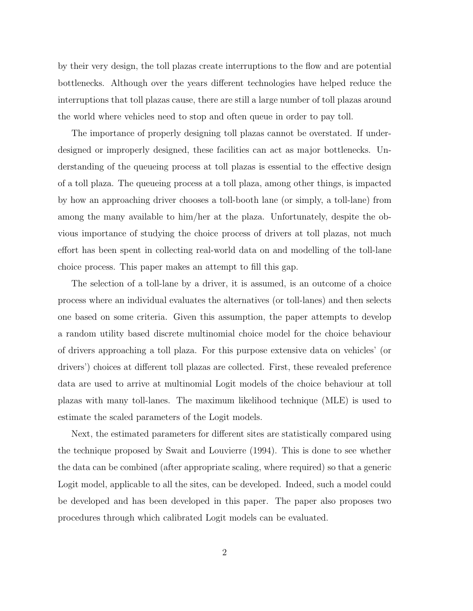by their very design, the toll plazas create interruptions to the flow and are potential bottlenecks. Although over the years different technologies have helped reduce the interruptions that toll plazas cause, there are still a large number of toll plazas around the world where vehicles need to stop and often queue in order to pay toll.

The importance of properly designing toll plazas cannot be overstated. If underdesigned or improperly designed, these facilities can act as major bottlenecks. Understanding of the queueing process at toll plazas is essential to the effective design of a toll plaza. The queueing process at a toll plaza, among other things, is impacted by how an approaching driver chooses a toll-booth lane (or simply, a toll-lane) from among the many available to him/her at the plaza. Unfortunately, despite the obvious importance of studying the choice process of drivers at toll plazas, not much effort has been spent in collecting real-world data on and modelling of the toll-lane choice process. This paper makes an attempt to fill this gap.

The selection of a toll-lane by a driver, it is assumed, is an outcome of a choice process where an individual evaluates the alternatives (or toll-lanes) and then selects one based on some criteria. Given this assumption, the paper attempts to develop a random utility based discrete multinomial choice model for the choice behaviour of drivers approaching a toll plaza. For this purpose extensive data on vehicles' (or drivers') choices at different toll plazas are collected. First, these revealed preference data are used to arrive at multinomial Logit models of the choice behaviour at toll plazas with many toll-lanes. The maximum likelihood technique (MLE) is used to estimate the scaled parameters of the Logit models.

Next, the estimated parameters for different sites are statistically compared using the technique proposed by Swait and Louvierre (1994). This is done to see whether the data can be combined (after appropriate scaling, where required) so that a generic Logit model, applicable to all the sites, can be developed. Indeed, such a model could be developed and has been developed in this paper. The paper also proposes two procedures through which calibrated Logit models can be evaluated.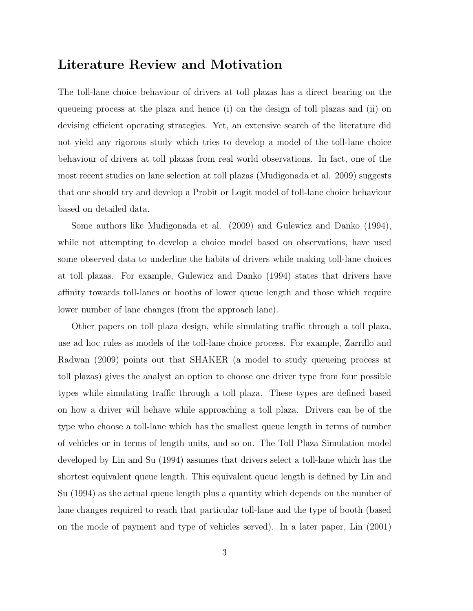#### Literature Review and Motivation

The toll-lane choice behaviour of drivers at toll plazas has a direct bearing on the queueing process at the plaza and hence (i) on the design of toll plazas and (ii) on devising efficient operating strategies. Yet, an extensive search of the literature did not yield any rigorous study which tries to develop a model of the toll-lane choice behaviour of drivers at toll plazas from real world observations. In fact, one of the most recent studies on lane selection at toll plazas (Mudigonada et al. 2009) suggests that one should try and develop a Probit or Logit model of toll-lane choice behaviour based on detailed data.

Some authors like Mudigonada et al. (2009) and Gulewicz and Danko (1994), while not attempting to develop a choice model based on observations, have used some observed data to underline the habits of drivers while making toll-lane choices at toll plazas. For example, Gulewicz and Danko (1994) states that drivers have affinity towards toll-lanes or booths of lower queue length and those which require lower number of lane changes (from the approach lane).

Other papers on toll plaza design, while simulating traffic through a toll plaza, use ad hoc rules as models of the toll-lane choice process. For example, Zarrillo and Radwan (2009) points out that SHAKER (a model to study queueing process at toll plazas) gives the analyst an option to choose one driver type from four possible types while simulating traffic through a toll plaza. These types are defined based on how a driver will behave while approaching a toll plaza. Drivers can be of the type who choose a toll-lane which has the smallest queue length in terms of number of vehicles or in terms of length units, and so on. The Toll Plaza Simulation model developed by Lin and Su (1994) assumes that drivers select a toll-lane which has the shortest equivalent queue length. This equivalent queue length is defined by Lin and Su (1994) as the actual queue length plus a quantity which depends on the number of lane changes required to reach that particular toll-lane and the type of booth (based on the mode of payment and type of vehicles served). In a later paper, Lin (2001)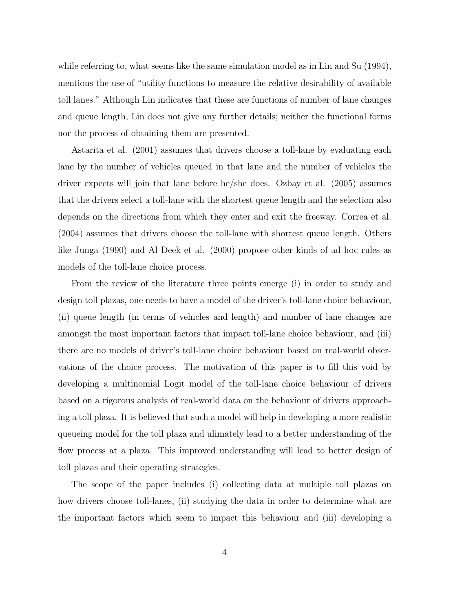while referring to, what seems like the same simulation model as in Lin and Su (1994), mentions the use of "utility functions to measure the relative desirability of available toll lanes." Although Lin indicates that these are functions of number of lane changes and queue length, Lin does not give any further details; neither the functional forms nor the process of obtaining them are presented.

Astarita et al. (2001) assumes that drivers choose a toll-lane by evaluating each lane by the number of vehicles queued in that lane and the number of vehicles the driver expects will join that lane before he/she does. Ozbay et al. (2005) assumes that the drivers select a toll-lane with the shortest queue length and the selection also depends on the directions from which they enter and exit the freeway. Correa et al. (2004) assumes that drivers choose the toll-lane with shortest queue length. Others like Junga (1990) and Al Deek et al. (2000) propose other kinds of ad hoc rules as models of the toll-lane choice process.

From the review of the literature three points emerge (i) in order to study and design toll plazas, one needs to have a model of the driver's toll-lane choice behaviour, (ii) queue length (in terms of vehicles and length) and number of lane changes are amongst the most important factors that impact toll-lane choice behaviour, and (iii) there are no models of driver's toll-lane choice behaviour based on real-world observations of the choice process. The motivation of this paper is to fill this void by developing a multinomial Logit model of the toll-lane choice behaviour of drivers based on a rigorous analysis of real-world data on the behaviour of drivers approaching a toll plaza. It is believed that such a model will help in developing a more realistic queueing model for the toll plaza and ulimately lead to a better understanding of the flow process at a plaza. This improved understanding will lead to better design of toll plazas and their operating strategies.

The scope of the paper includes (i) collecting data at multiple toll plazas on how drivers choose toll-lanes, (ii) studying the data in order to determine what are the important factors which seem to impact this behaviour and (iii) developing a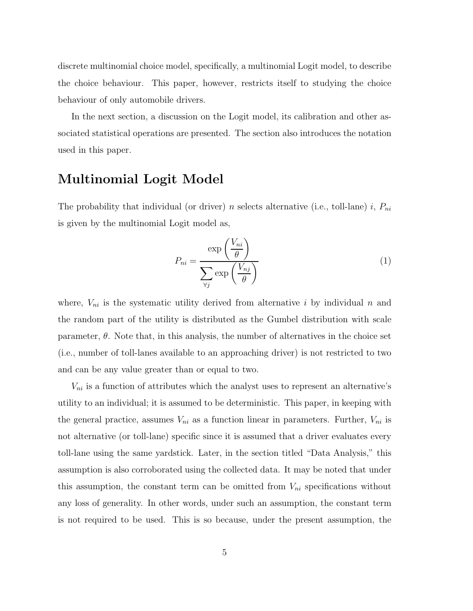discrete multinomial choice model, specifically, a multinomial Logit model, to describe the choice behaviour. This paper, however, restricts itself to studying the choice behaviour of only automobile drivers.

In the next section, a discussion on the Logit model, its calibration and other associated statistical operations are presented. The section also introduces the notation used in this paper.

# Multinomial Logit Model

The probability that individual (or driver) n selects alternative (i.e., toll-lane) i,  $P_{ni}$ is given by the multinomial Logit model as,

$$
P_{ni} = \frac{\exp\left(\frac{V_{ni}}{\theta}\right)}{\sum_{\forall j} \exp\left(\frac{V_{nj}}{\theta}\right)}
$$
(1)

where,  $V_{ni}$  is the systematic utility derived from alternative i by individual n and the random part of the utility is distributed as the Gumbel distribution with scale parameter,  $\theta$ . Note that, in this analysis, the number of alternatives in the choice set (i.e., number of toll-lanes available to an approaching driver) is not restricted to two and can be any value greater than or equal to two.

 $V_{ni}$  is a function of attributes which the analyst uses to represent an alternative's utility to an individual; it is assumed to be deterministic. This paper, in keeping with the general practice, assumes  $V_{ni}$  as a function linear in parameters. Further,  $V_{ni}$  is not alternative (or toll-lane) specific since it is assumed that a driver evaluates every toll-lane using the same yardstick. Later, in the section titled "Data Analysis," this assumption is also corroborated using the collected data. It may be noted that under this assumption, the constant term can be omitted from  $V_{ni}$  specifications without any loss of generality. In other words, under such an assumption, the constant term is not required to be used. This is so because, under the present assumption, the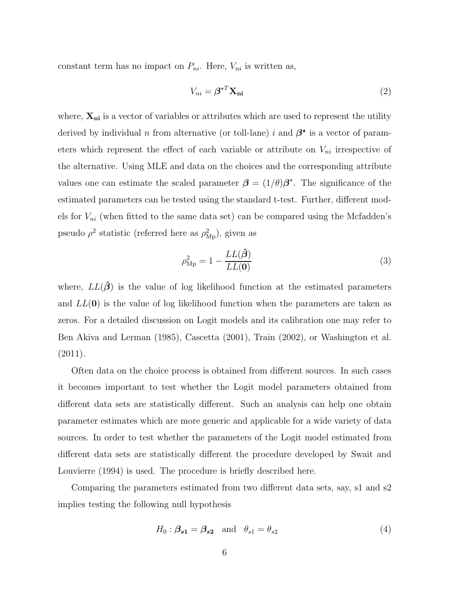constant term has no impact on  $P_{ni}$ . Here,  $V_{ni}$  is written as,

$$
V_{ni} = \boldsymbol{\beta}^{\star T} \mathbf{X}_{ni} \tag{2}
$$

where,  $X_{ni}$  is a vector of variables or attributes which are used to represent the utility derived by individual n from alternative (or toll-lane) i and  $\beta^*$  is a vector of parameters which represent the effect of each variable or attribute on  $V_{ni}$  irrespective of the alternative. Using MLE and data on the choices and the corresponding attribute values one can estimate the scaled parameter  $\beta = (1/\theta)\beta^*$ . The significance of the estimated parameters can be tested using the standard t-test. Further, different models for  $V_{ni}$  (when fitted to the same data set) can be compared using the Mcfadden's pseudo  $\rho^2$  statistic (referred here as  $\rho_{\rm Mp}^2$ ), given as

$$
\rho_{\rm Mp}^2 = 1 - \frac{LL(\hat{\boldsymbol{\beta}})}{LL(\mathbf{0})} \tag{3}
$$

where,  $LL(\hat{\beta})$  is the value of log likelihood function at the estimated parameters and  $LL(0)$  is the value of log likelihood function when the parameters are taken as zeros. For a detailed discussion on Logit models and its calibration one may refer to Ben Akiva and Lerman (1985), Cascetta (2001), Train (2002), or Washington et al. (2011).

Often data on the choice process is obtained from different sources. In such cases it becomes important to test whether the Logit model parameters obtained from different data sets are statistically different. Such an analysis can help one obtain parameter estimates which are more generic and applicable for a wide variety of data sources. In order to test whether the parameters of the Logit model estimated from different data sets are statistically different the procedure developed by Swait and Louvierre (1994) is used. The procedure is briefly described here.

Comparing the parameters estimated from two different data sets, say, s1 and s2 implies testing the following null hypothesis

$$
H_0: \beta_{s1} = \beta_{s2} \quad \text{and} \quad \theta_{s1} = \theta_{s2} \tag{4}
$$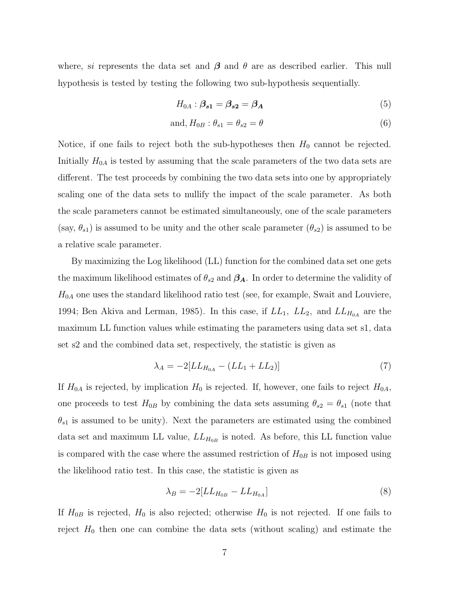where, si represents the data set and  $\beta$  and  $\theta$  are as described earlier. This null hypothesis is tested by testing the following two sub-hypothesis sequentially.

$$
H_{0A} : \beta_{s1} = \beta_{s2} = \beta_A \tag{5}
$$

and, 
$$
H_{0B}
$$
:  $\theta_{s1} = \theta_{s2} = \theta$  (6)

Notice, if one fails to reject both the sub-hypotheses then  $H_0$  cannot be rejected. Initially  $H_{0A}$  is tested by assuming that the scale parameters of the two data sets are different. The test proceeds by combining the two data sets into one by appropriately scaling one of the data sets to nullify the impact of the scale parameter. As both the scale parameters cannot be estimated simultaneously, one of the scale parameters (say,  $\theta_{s1}$ ) is assumed to be unity and the other scale parameter  $(\theta_{s2})$  is assumed to be a relative scale parameter.

By maximizing the Log likelihood (LL) function for the combined data set one gets the maximum likelihood estimates of  $\theta_{s2}$  and  $\beta_A$ . In order to determine the validity of  $H_{0A}$  one uses the standard likelihood ratio test (see, for example, Swait and Louviere, 1994; Ben Akiva and Lerman, 1985). In this case, if  $LL_1$ ,  $LL_2$ , and  $LL_{H_{0A}}$  are the maximum LL function values while estimating the parameters using data set s1, data set s2 and the combined data set, respectively, the statistic is given as

$$
\lambda_A = -2[L L_{H_{0A}} - (LL_1 + LL_2)] \tag{7}
$$

If  $H_{0A}$  is rejected, by implication  $H_0$  is rejected. If, however, one fails to reject  $H_{0A}$ , one proceeds to test  $H_{0B}$  by combining the data sets assuming  $\theta_{s2} = \theta_{s1}$  (note that  $\theta_{s1}$  is assumed to be unity). Next the parameters are estimated using the combined data set and maximum LL value,  $LL_{H_{0B}}$  is noted. As before, this LL function value is compared with the case where the assumed restriction of  $H_{0B}$  is not imposed using the likelihood ratio test. In this case, the statistic is given as

$$
\lambda_B = -2[L L_{H_{0B}} - L L_{H_{0A}}] \tag{8}
$$

If  $H_{0B}$  is rejected,  $H_0$  is also rejected; otherwise  $H_0$  is not rejected. If one fails to reject  $H_0$  then one can combine the data sets (without scaling) and estimate the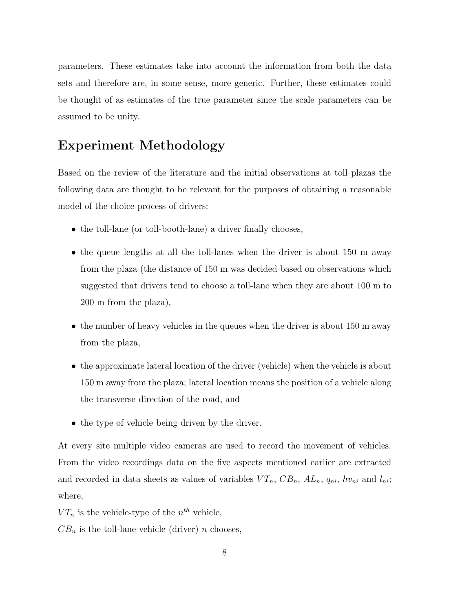parameters. These estimates take into account the information from both the data sets and therefore are, in some sense, more generic. Further, these estimates could be thought of as estimates of the true parameter since the scale parameters can be assumed to be unity.

# Experiment Methodology

Based on the review of the literature and the initial observations at toll plazas the following data are thought to be relevant for the purposes of obtaining a reasonable model of the choice process of drivers:

- the toll-lane (or toll-booth-lane) a driver finally chooses,
- the queue lengths at all the toll-lanes when the driver is about 150 m away from the plaza (the distance of 150 m was decided based on observations which suggested that drivers tend to choose a toll-lane when they are about 100 m to 200 m from the plaza),
- the number of heavy vehicles in the queues when the driver is about 150 m away from the plaza,
- the approximate lateral location of the driver (vehicle) when the vehicle is about 150 m away from the plaza; lateral location means the position of a vehicle along the transverse direction of the road, and
- the type of vehicle being driven by the driver.

At every site multiple video cameras are used to record the movement of vehicles. From the video recordings data on the five aspects mentioned earlier are extracted and recorded in data sheets as values of variables  $VT_n$ ,  $CB_n$ ,  $AL_n$ ,  $q_{ni}$ ,  $hv_{ni}$  and  $l_{ni}$ ; where,

 $VT_n$  is the vehicle-type of the  $n^{th}$  vehicle,

 $CB_n$  is the toll-lane vehicle (driver) *n* chooses,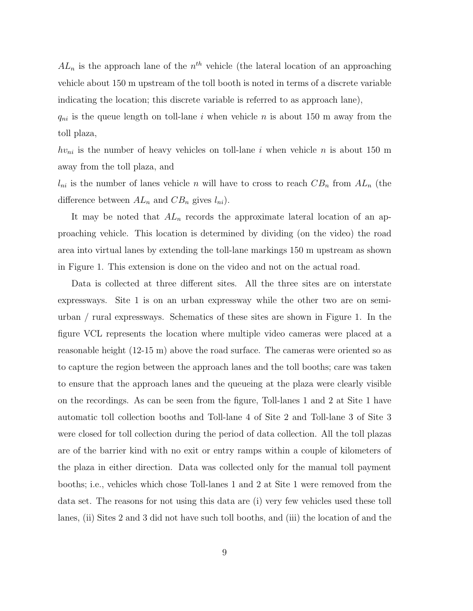$AL_n$  is the approach lane of the  $n<sup>th</sup>$  vehicle (the lateral location of an approaching vehicle about 150 m upstream of the toll booth is noted in terms of a discrete variable indicating the location; this discrete variable is referred to as approach lane),

 $q_{ni}$  is the queue length on toll-lane i when vehicle n is about 150 m away from the toll plaza,

 $hv_{ni}$  is the number of heavy vehicles on toll-lane i when vehicle n is about 150 m away from the toll plaza, and

 $l_{ni}$  is the number of lanes vehicle n will have to cross to reach  $CB_n$  from  $AL_n$  (the difference between  $AL_n$  and  $CB_n$  gives  $l_{ni}$ .

It may be noted that  $AL_n$  records the approximate lateral location of an approaching vehicle. This location is determined by dividing (on the video) the road area into virtual lanes by extending the toll-lane markings 150 m upstream as shown in Figure 1. This extension is done on the video and not on the actual road.

Data is collected at three different sites. All the three sites are on interstate expressways. Site 1 is on an urban expressway while the other two are on semiurban / rural expressways. Schematics of these sites are shown in Figure 1. In the figure VCL represents the location where multiple video cameras were placed at a reasonable height (12-15 m) above the road surface. The cameras were oriented so as to capture the region between the approach lanes and the toll booths; care was taken to ensure that the approach lanes and the queueing at the plaza were clearly visible on the recordings. As can be seen from the figure, Toll-lanes 1 and 2 at Site 1 have automatic toll collection booths and Toll-lane 4 of Site 2 and Toll-lane 3 of Site 3 were closed for toll collection during the period of data collection. All the toll plazas are of the barrier kind with no exit or entry ramps within a couple of kilometers of the plaza in either direction. Data was collected only for the manual toll payment booths; i.e., vehicles which chose Toll-lanes 1 and 2 at Site 1 were removed from the data set. The reasons for not using this data are (i) very few vehicles used these toll lanes, (ii) Sites 2 and 3 did not have such toll booths, and (iii) the location of and the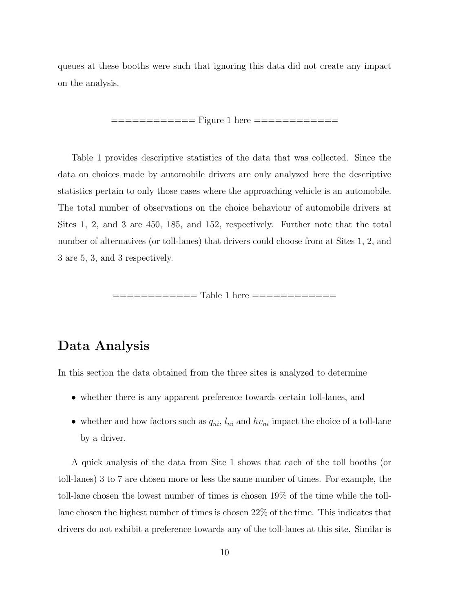queues at these booths were such that ignoring this data did not create any impact on the analysis.

============== Figure 1 here ==============

Table 1 provides descriptive statistics of the data that was collected. Since the data on choices made by automobile drivers are only analyzed here the descriptive statistics pertain to only those cases where the approaching vehicle is an automobile. The total number of observations on the choice behaviour of automobile drivers at Sites 1, 2, and 3 are 450, 185, and 152, respectively. Further note that the total number of alternatives (or toll-lanes) that drivers could choose from at Sites 1, 2, and 3 are 5, 3, and 3 respectively.

============== Table 1 here =============

# Data Analysis

In this section the data obtained from the three sites is analyzed to determine

- whether there is any apparent preference towards certain toll-lanes, and
- whether and how factors such as  $q_{ni}$ ,  $l_{ni}$  and  $hv_{ni}$  impact the choice of a toll-lane by a driver.

A quick analysis of the data from Site 1 shows that each of the toll booths (or toll-lanes) 3 to 7 are chosen more or less the same number of times. For example, the toll-lane chosen the lowest number of times is chosen 19% of the time while the tolllane chosen the highest number of times is chosen 22% of the time. This indicates that drivers do not exhibit a preference towards any of the toll-lanes at this site. Similar is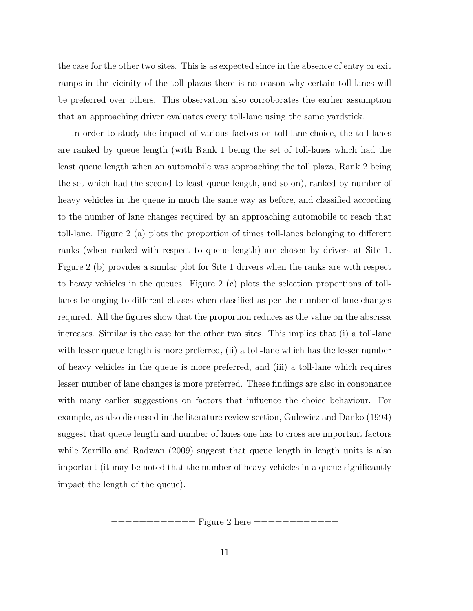the case for the other two sites. This is as expected since in the absence of entry or exit ramps in the vicinity of the toll plazas there is no reason why certain toll-lanes will be preferred over others. This observation also corroborates the earlier assumption that an approaching driver evaluates every toll-lane using the same yardstick.

In order to study the impact of various factors on toll-lane choice, the toll-lanes are ranked by queue length (with Rank 1 being the set of toll-lanes which had the least queue length when an automobile was approaching the toll plaza, Rank 2 being the set which had the second to least queue length, and so on), ranked by number of heavy vehicles in the queue in much the same way as before, and classified according to the number of lane changes required by an approaching automobile to reach that toll-lane. Figure 2 (a) plots the proportion of times toll-lanes belonging to different ranks (when ranked with respect to queue length) are chosen by drivers at Site 1. Figure 2 (b) provides a similar plot for Site 1 drivers when the ranks are with respect to heavy vehicles in the queues. Figure 2 (c) plots the selection proportions of tolllanes belonging to different classes when classified as per the number of lane changes required. All the figures show that the proportion reduces as the value on the abscissa increases. Similar is the case for the other two sites. This implies that (i) a toll-lane with lesser queue length is more preferred, (ii) a toll-lane which has the lesser number of heavy vehicles in the queue is more preferred, and (iii) a toll-lane which requires lesser number of lane changes is more preferred. These findings are also in consonance with many earlier suggestions on factors that influence the choice behaviour. For example, as also discussed in the literature review section, Gulewicz and Danko (1994) suggest that queue length and number of lanes one has to cross are important factors while Zarrillo and Radwan (2009) suggest that queue length in length units is also important (it may be noted that the number of heavy vehicles in a queue significantly impact the length of the queue).

============= Figure 2 here ==============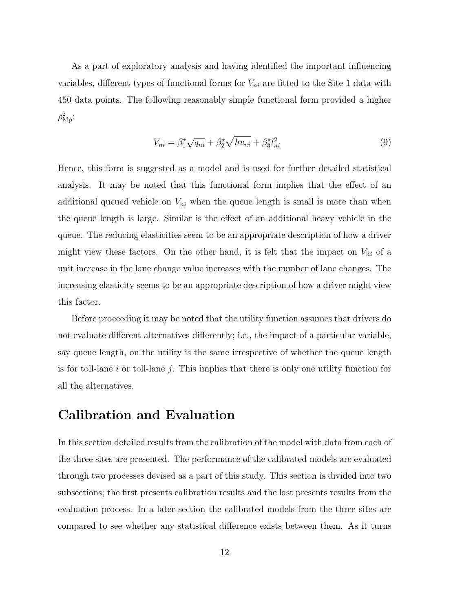As a part of exploratory analysis and having identified the important influencing variables, different types of functional forms for  $V_{ni}$  are fitted to the Site 1 data with 450 data points. The following reasonably simple functional form provided a higher  $\rho^2_{\rm Mp}$ :

$$
V_{ni} = \beta_1^* \sqrt{q_{ni}} + \beta_2^* \sqrt{hv_{ni}} + \beta_3^* l_{ni}^2
$$
\n
$$
(9)
$$

Hence, this form is suggested as a model and is used for further detailed statistical analysis. It may be noted that this functional form implies that the effect of an additional queued vehicle on  $V_{ni}$  when the queue length is small is more than when the queue length is large. Similar is the effect of an additional heavy vehicle in the queue. The reducing elasticities seem to be an appropriate description of how a driver might view these factors. On the other hand, it is felt that the impact on  $V_{ni}$  of a unit increase in the lane change value increases with the number of lane changes. The increasing elasticity seems to be an appropriate description of how a driver might view this factor.

Before proceeding it may be noted that the utility function assumes that drivers do not evaluate different alternatives differently; i.e., the impact of a particular variable, say queue length, on the utility is the same irrespective of whether the queue length is for toll-lane i or toll-lane j. This implies that there is only one utility function for all the alternatives.

#### Calibration and Evaluation

In this section detailed results from the calibration of the model with data from each of the three sites are presented. The performance of the calibrated models are evaluated through two processes devised as a part of this study. This section is divided into two subsections; the first presents calibration results and the last presents results from the evaluation process. In a later section the calibrated models from the three sites are compared to see whether any statistical difference exists between them. As it turns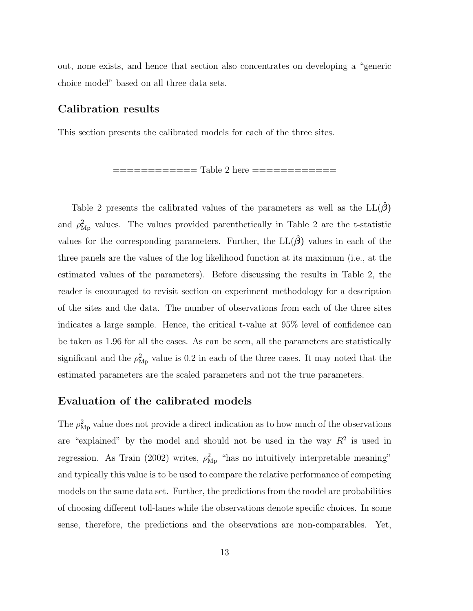out, none exists, and hence that section also concentrates on developing a "generic choice model" based on all three data sets.

#### Calibration results

This section presents the calibrated models for each of the three sites.

=============== Table 2 here ==============

Table 2 presents the calibrated values of the parameters as well as the  $LL(\hat{\beta})$ and  $\rho_{Mp}^2$  values. The values provided parenthetically in Table 2 are the t-statistic values for the corresponding parameters. Further, the  $LL(\hat{\beta})$  values in each of the three panels are the values of the log likelihood function at its maximum (i.e., at the estimated values of the parameters). Before discussing the results in Table 2, the reader is encouraged to revisit section on experiment methodology for a description of the sites and the data. The number of observations from each of the three sites indicates a large sample. Hence, the critical t-value at 95% level of confidence can be taken as 1.96 for all the cases. As can be seen, all the parameters are statistically significant and the  $\rho_{Mp}^2$  value is 0.2 in each of the three cases. It may noted that the estimated parameters are the scaled parameters and not the true parameters.

#### Evaluation of the calibrated models

The  $\rho_{Mp}^2$  value does not provide a direct indication as to how much of the observations are "explained" by the model and should not be used in the way  $R^2$  is used in regression. As Train (2002) writes,  $\rho_{Mp}^2$  "has no intuitively interpretable meaning" and typically this value is to be used to compare the relative performance of competing models on the same data set. Further, the predictions from the model are probabilities of choosing different toll-lanes while the observations denote specific choices. In some sense, therefore, the predictions and the observations are non-comparables. Yet,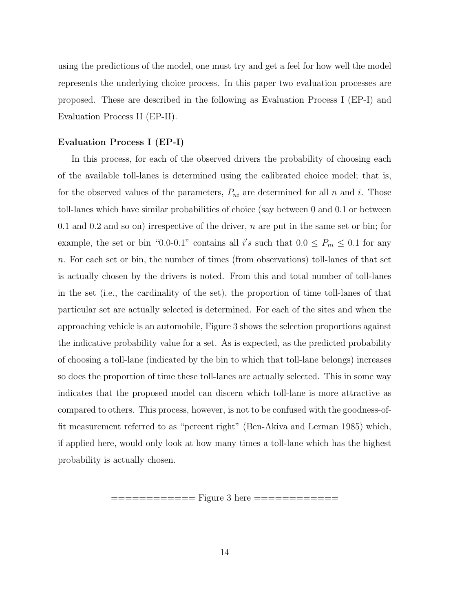using the predictions of the model, one must try and get a feel for how well the model represents the underlying choice process. In this paper two evaluation processes are proposed. These are described in the following as Evaluation Process I (EP-I) and Evaluation Process II (EP-II).

#### Evaluation Process I (EP-I)

In this process, for each of the observed drivers the probability of choosing each of the available toll-lanes is determined using the calibrated choice model; that is, for the observed values of the parameters,  $P_{ni}$  are determined for all n and i. Those toll-lanes which have similar probabilities of choice (say between 0 and 0.1 or between 0.1 and 0.2 and so on) irrespective of the driver,  $n$  are put in the same set or bin; for example, the set or bin "0.0-0.1" contains all i's such that  $0.0 \le P_{ni} \le 0.1$  for any n. For each set or bin, the number of times (from observations) toll-lanes of that set is actually chosen by the drivers is noted. From this and total number of toll-lanes in the set (i.e., the cardinality of the set), the proportion of time toll-lanes of that particular set are actually selected is determined. For each of the sites and when the approaching vehicle is an automobile, Figure 3 shows the selection proportions against the indicative probability value for a set. As is expected, as the predicted probability of choosing a toll-lane (indicated by the bin to which that toll-lane belongs) increases so does the proportion of time these toll-lanes are actually selected. This in some way indicates that the proposed model can discern which toll-lane is more attractive as compared to others. This process, however, is not to be confused with the goodness-offit measurement referred to as "percent right" (Ben-Akiva and Lerman 1985) which, if applied here, would only look at how many times a toll-lane which has the highest probability is actually chosen.

============== Figure 3 here ==============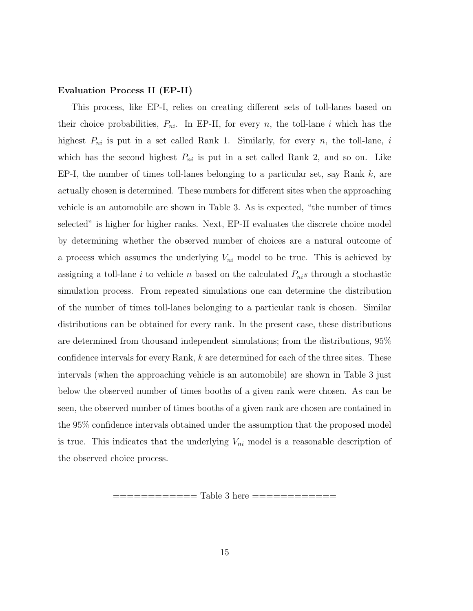#### Evaluation Process II (EP-II)

This process, like EP-I, relies on creating different sets of toll-lanes based on their choice probabilities,  $P_{ni}$ . In EP-II, for every n, the toll-lane i which has the highest  $P_{ni}$  is put in a set called Rank 1. Similarly, for every n, the toll-lane, i which has the second highest  $P_{ni}$  is put in a set called Rank 2, and so on. Like EP-I, the number of times toll-lanes belonging to a particular set, say Rank  $k$ , are actually chosen is determined. These numbers for different sites when the approaching vehicle is an automobile are shown in Table 3. As is expected, "the number of times selected" is higher for higher ranks. Next, EP-II evaluates the discrete choice model by determining whether the observed number of choices are a natural outcome of a process which assumes the underlying  $V_{ni}$  model to be true. This is achieved by assigning a toll-lane i to vehicle n based on the calculated  $P_{ni}s$  through a stochastic simulation process. From repeated simulations one can determine the distribution of the number of times toll-lanes belonging to a particular rank is chosen. Similar distributions can be obtained for every rank. In the present case, these distributions are determined from thousand independent simulations; from the distributions, 95% confidence intervals for every Rank, k are determined for each of the three sites. These intervals (when the approaching vehicle is an automobile) are shown in Table 3 just below the observed number of times booths of a given rank were chosen. As can be seen, the observed number of times booths of a given rank are chosen are contained in the 95% confidence intervals obtained under the assumption that the proposed model is true. This indicates that the underlying  $V_{ni}$  model is a reasonable description of the observed choice process.

============== Table 3 here =============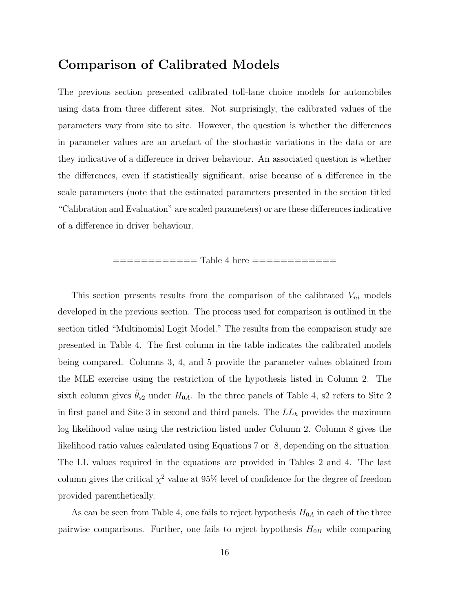# Comparison of Calibrated Models

The previous section presented calibrated toll-lane choice models for automobiles using data from three different sites. Not surprisingly, the calibrated values of the parameters vary from site to site. However, the question is whether the differences in parameter values are an artefact of the stochastic variations in the data or are they indicative of a difference in driver behaviour. An associated question is whether the differences, even if statistically significant, arise because of a difference in the scale parameters (note that the estimated parameters presented in the section titled "Calibration and Evaluation" are scaled parameters) or are these differences indicative of a difference in driver behaviour.

============ Table 4 here ============

This section presents results from the comparison of the calibrated  $V_{ni}$  models developed in the previous section. The process used for comparison is outlined in the section titled "Multinomial Logit Model." The results from the comparison study are presented in Table 4. The first column in the table indicates the calibrated models being compared. Columns 3, 4, and 5 provide the parameter values obtained from the MLE exercise using the restriction of the hypothesis listed in Column 2. The sixth column gives  $\hat{\theta}_{s2}$  under  $H_{0A}$ . In the three panels of Table 4, s2 refers to Site 2 in first panel and Site 3 in second and third panels. The  $LL<sub>h</sub>$  provides the maximum log likelihood value using the restriction listed under Column 2. Column 8 gives the likelihood ratio values calculated using Equations 7 or 8, depending on the situation. The LL values required in the equations are provided in Tables 2 and 4. The last column gives the critical  $\chi^2$  value at 95% level of confidence for the degree of freedom provided parenthetically.

As can be seen from Table 4, one fails to reject hypothesis  $H_{0A}$  in each of the three pairwise comparisons. Further, one fails to reject hypothesis  $H_{0B}$  while comparing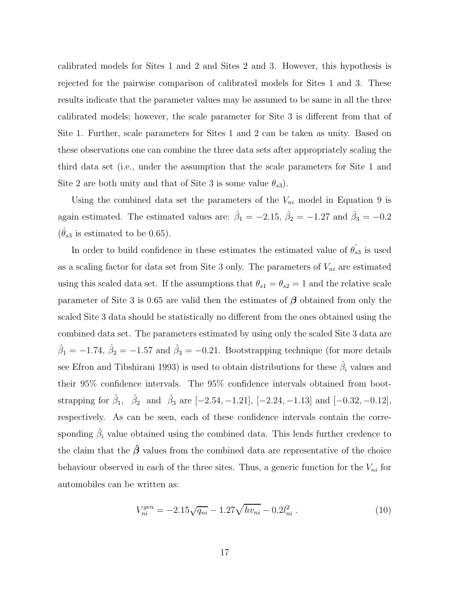calibrated models for Sites 1 and 2 and Sites 2 and 3. However, this hypothesis is rejected for the pairwise comparison of calibrated models for Sites 1 and 3. These results indicate that the parameter values may be assumed to be same in all the three calibrated models; however, the scale parameter for Site 3 is different from that of Site 1. Further, scale parameters for Sites 1 and 2 can be taken as unity. Based on these observations one can combine the three data sets after appropriately scaling the third data set (i.e., under the assumption that the scale parameters for Site 1 and Site 2 are both unity and that of Site 3 is some value  $\theta_{s3}$ ).

Using the combined data set the parameters of the  $V_{ni}$  model in Equation 9 is again estimated. The estimated values are:  $\hat{\beta}_1 = -2.15$ ,  $\hat{\beta}_2 = -1.27$  and  $\hat{\beta}_3 = -0.2$  $(\hat{\theta}_{s3} \text{ is estimated to be } 0.65).$ 

In order to build confidence in these estimates the estimated value of  $\hat{\theta}_{s3}$  is used as a scaling factor for data set from Site 3 only. The parameters of  $V_{ni}$  are estimated using this scaled data set. If the assumptions that  $\theta_{s1} = \theta_{s2} = 1$  and the relative scale parameter of Site 3 is 0.65 are valid then the estimates of  $\beta$  obtained from only the scaled Site 3 data should be statistically no different from the ones obtained using the combined data set. The parameters estimated by using only the scaled Site 3 data are  $\hat{\beta}_1 = -1.74$ ,  $\hat{\beta}_2 = -1.57$  and  $\hat{\beta}_3 = -0.21$ . Bootstrapping technique (for more details see Efron and Tibshirani 1993) is used to obtain distributions for these  $\hat{\beta}_i$  values and their 95% confidence intervals. The 95% confidence intervals obtained from bootstrapping for  $\hat{\beta}_1$ ,  $\hat{\beta}_2$  and  $\hat{\beta}_3$  are  $[-2.54, -1.21]$ ,  $[-2.24, -1.13]$  and  $[-0.32, -0.12]$ , respectively. As can be seen, each of these confidence intervals contain the corresponding  $\hat{\beta}_i$  value obtained using the combined data. This lends further credence to the claim that the  $\hat{\beta}$  values from the combined data are representative of the choice behaviour observed in each of the three sites. Thus, a generic function for the  $V_{ni}$  for automobiles can be written as:

$$
V_{ni}^{gen} = -2.15\sqrt{q_{ni}} - 1.27\sqrt{hv_{ni}} - 0.2l_{ni}^2.
$$
 (10)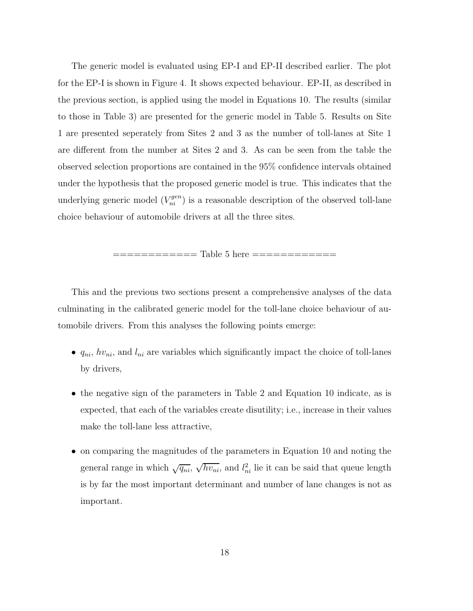The generic model is evaluated using EP-I and EP-II described earlier. The plot for the EP-I is shown in Figure 4. It shows expected behaviour. EP-II, as described in the previous section, is applied using the model in Equations 10. The results (similar to those in Table 3) are presented for the generic model in Table 5. Results on Site 1 are presented seperately from Sites 2 and 3 as the number of toll-lanes at Site 1 are different from the number at Sites 2 and 3. As can be seen from the table the observed selection proportions are contained in the 95% confidence intervals obtained under the hypothesis that the proposed generic model is true. This indicates that the underlying generic model  $(V_{ni}^{gen})$  is a reasonable description of the observed toll-lane choice behaviour of automobile drivers at all the three sites.

============== Table 5 here =============

This and the previous two sections present a comprehensive analyses of the data culminating in the calibrated generic model for the toll-lane choice behaviour of automobile drivers. From this analyses the following points emerge:

- $q_{ni}$ ,  $hv_{ni}$ , and  $l_{ni}$  are variables which significantly impact the choice of toll-lanes by drivers,
- the negative sign of the parameters in Table 2 and Equation 10 indicate, as is expected, that each of the variables create disutility; i.e., increase in their values make the toll-lane less attractive,
- on comparing the magnitudes of the parameters in Equation 10 and noting the general range in which  $\sqrt{q_{ni}}$ ,  $\sqrt{hv_{ni}}$ , and  $l_{ni}^2$  lie it can be said that queue length is by far the most important determinant and number of lane changes is not as important.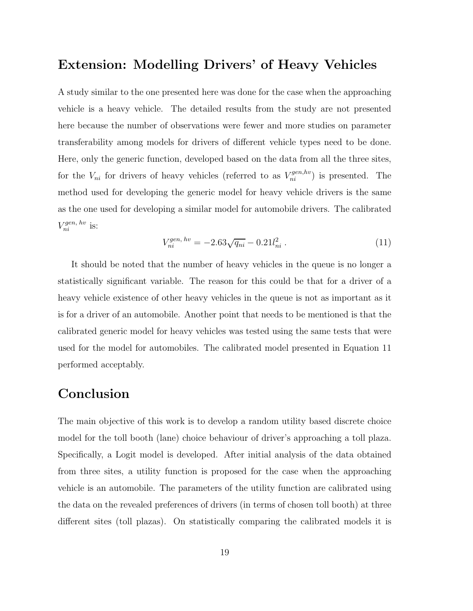### Extension: Modelling Drivers' of Heavy Vehicles

A study similar to the one presented here was done for the case when the approaching vehicle is a heavy vehicle. The detailed results from the study are not presented here because the number of observations were fewer and more studies on parameter transferability among models for drivers of different vehicle types need to be done. Here, only the generic function, developed based on the data from all the three sites, for the  $V_{ni}$  for drivers of heavy vehicles (referred to as  $V_{ni}^{gen,hv}$ ) is presented. The method used for developing the generic model for heavy vehicle drivers is the same as the one used for developing a similar model for automobile drivers. The calibrated  $V_{ni}^{gen, hv}$  is:

$$
V_{ni}^{gen,\, hv} = -2.63\sqrt{q_{ni}} - 0.21l_{ni}^2\,. \tag{11}
$$

It should be noted that the number of heavy vehicles in the queue is no longer a statistically significant variable. The reason for this could be that for a driver of a heavy vehicle existence of other heavy vehicles in the queue is not as important as it is for a driver of an automobile. Another point that needs to be mentioned is that the calibrated generic model for heavy vehicles was tested using the same tests that were used for the model for automobiles. The calibrated model presented in Equation 11 performed acceptably.

# Conclusion

The main objective of this work is to develop a random utility based discrete choice model for the toll booth (lane) choice behaviour of driver's approaching a toll plaza. Specifically, a Logit model is developed. After initial analysis of the data obtained from three sites, a utility function is proposed for the case when the approaching vehicle is an automobile. The parameters of the utility function are calibrated using the data on the revealed preferences of drivers (in terms of chosen toll booth) at three different sites (toll plazas). On statistically comparing the calibrated models it is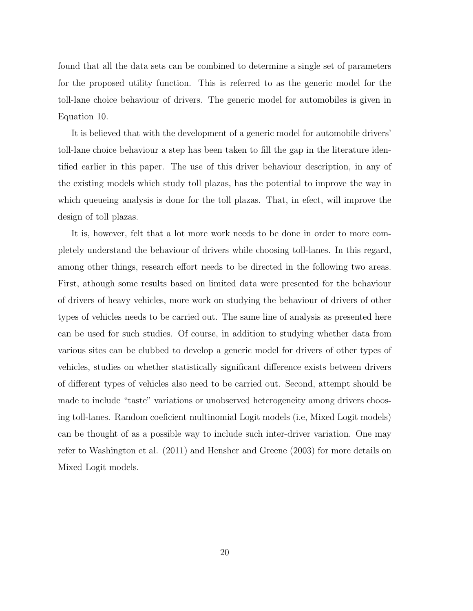found that all the data sets can be combined to determine a single set of parameters for the proposed utility function. This is referred to as the generic model for the toll-lane choice behaviour of drivers. The generic model for automobiles is given in Equation 10.

It is believed that with the development of a generic model for automobile drivers' toll-lane choice behaviour a step has been taken to fill the gap in the literature identified earlier in this paper. The use of this driver behaviour description, in any of the existing models which study toll plazas, has the potential to improve the way in which queueing analysis is done for the toll plazas. That, in efect, will improve the design of toll plazas.

It is, however, felt that a lot more work needs to be done in order to more completely understand the behaviour of drivers while choosing toll-lanes. In this regard, among other things, research effort needs to be directed in the following two areas. First, athough some results based on limited data were presented for the behaviour of drivers of heavy vehicles, more work on studying the behaviour of drivers of other types of vehicles needs to be carried out. The same line of analysis as presented here can be used for such studies. Of course, in addition to studying whether data from various sites can be clubbed to develop a generic model for drivers of other types of vehicles, studies on whether statistically significant difference exists between drivers of different types of vehicles also need to be carried out. Second, attempt should be made to include "taste" variations or unobserved heterogeneity among drivers choosing toll-lanes. Random coeficient multinomial Logit models (i.e, Mixed Logit models) can be thought of as a possible way to include such inter-driver variation. One may refer to Washington et al. (2011) and Hensher and Greene (2003) for more details on Mixed Logit models.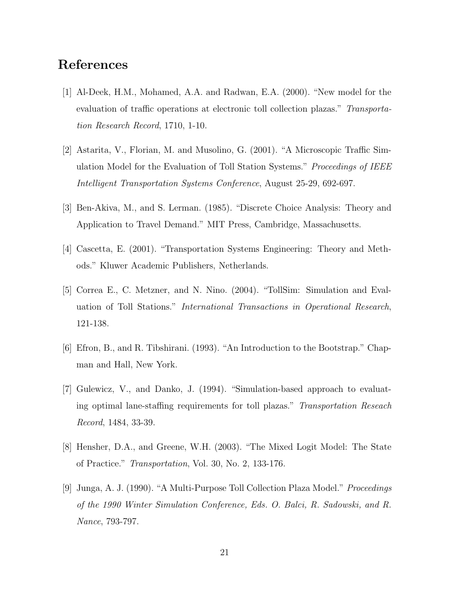# References

- [1] Al-Deek, H.M., Mohamed, A.A. and Radwan, E.A. (2000). "New model for the evaluation of traffic operations at electronic toll collection plazas." Transportation Research Record, 1710, 1-10.
- [2] Astarita, V., Florian, M. and Musolino, G. (2001). "A Microscopic Traffic Simulation Model for the Evaluation of Toll Station Systems." Proceedings of IEEE Intelligent Transportation Systems Conference, August 25-29, 692-697.
- [3] Ben-Akiva, M., and S. Lerman. (1985). "Discrete Choice Analysis: Theory and Application to Travel Demand." MIT Press, Cambridge, Massachusetts.
- [4] Cascetta, E. (2001). "Transportation Systems Engineering: Theory and Methods." Kluwer Academic Publishers, Netherlands.
- [5] Correa E., C. Metzner, and N. Nino. (2004). "TollSim: Simulation and Evaluation of Toll Stations." International Transactions in Operational Research, 121-138.
- [6] Efron, B., and R. Tibshirani. (1993). "An Introduction to the Bootstrap." Chapman and Hall, New York.
- [7] Gulewicz, V., and Danko, J. (1994). "Simulation-based approach to evaluating optimal lane-staffing requirements for toll plazas." Transportation Reseach Record, 1484, 33-39.
- [8] Hensher, D.A., and Greene, W.H. (2003). "The Mixed Logit Model: The State of Practice." Transportation, Vol. 30, No. 2, 133-176.
- [9] Junga, A. J. (1990). "A Multi-Purpose Toll Collection Plaza Model." Proceedings of the 1990 Winter Simulation Conference, Eds. O. Balci, R. Sadowski, and R. Nance, 793-797.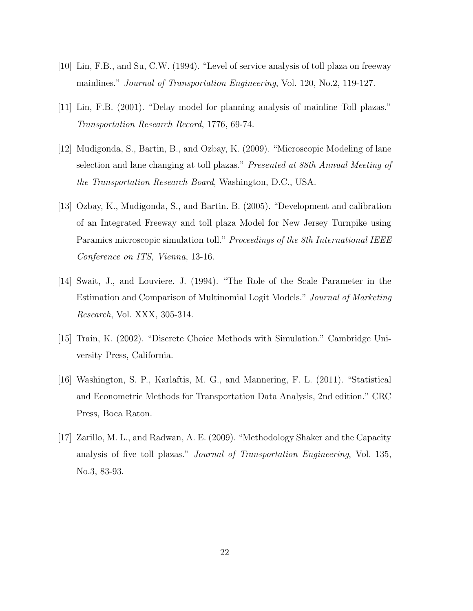- [10] Lin, F.B., and Su, C.W. (1994). "Level of service analysis of toll plaza on freeway mainlines." Journal of Transportation Engineering, Vol. 120, No.2, 119-127.
- [11] Lin, F.B. (2001). "Delay model for planning analysis of mainline Toll plazas." Transportation Research Record, 1776, 69-74.
- [12] Mudigonda, S., Bartin, B., and Ozbay, K. (2009). "Microscopic Modeling of lane selection and lane changing at toll plazas." Presented at 88th Annual Meeting of the Transportation Research Board, Washington, D.C., USA.
- [13] Ozbay, K., Mudigonda, S., and Bartin. B. (2005). "Development and calibration of an Integrated Freeway and toll plaza Model for New Jersey Turnpike using Paramics microscopic simulation toll." *Proceedings of the 8th International IEEE* Conference on ITS, Vienna, 13-16.
- [14] Swait, J., and Louviere. J. (1994). "The Role of the Scale Parameter in the Estimation and Comparison of Multinomial Logit Models." Journal of Marketing Research, Vol. XXX, 305-314.
- [15] Train, K. (2002). "Discrete Choice Methods with Simulation." Cambridge University Press, California.
- [16] Washington, S. P., Karlaftis, M. G., and Mannering, F. L. (2011). "Statistical and Econometric Methods for Transportation Data Analysis, 2nd edition." CRC Press, Boca Raton.
- [17] Zarillo, M. L., and Radwan, A. E. (2009). "Methodology Shaker and the Capacity analysis of five toll plazas." Journal of Transportation Engineering, Vol. 135, No.3, 83-93.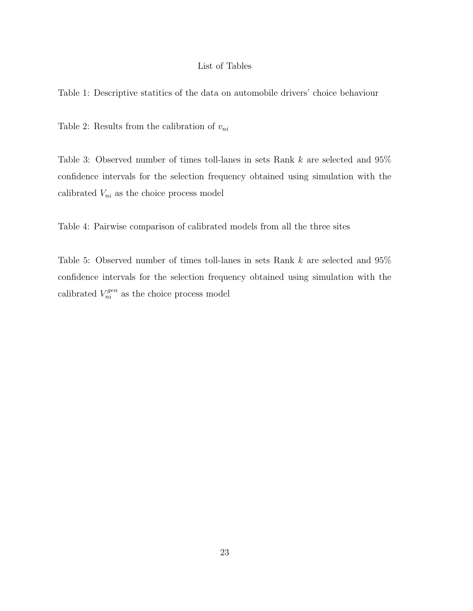#### List of Tables

Table 1: Descriptive statitics of the data on automobile drivers' choice behaviour

Table 2: Results from the calibration of  $v_{ni}$ 

Table 3: Observed number of times toll-lanes in sets Rank  $k$  are selected and  $95\%$ confidence intervals for the selection frequency obtained using simulation with the calibrated  $V_{ni}$  as the choice process model

Table 4: Pairwise comparison of calibrated models from all the three sites

Table 5: Observed number of times toll-lanes in sets Rank k are selected and 95% confidence intervals for the selection frequency obtained using simulation with the calibrated  $V_{ni}^{gen}$  as the choice process model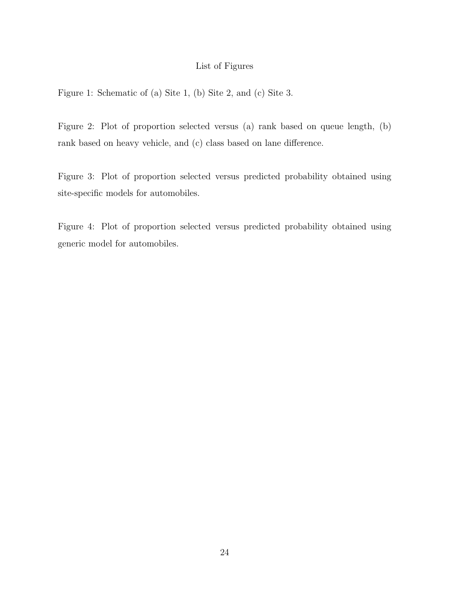#### List of Figures

Figure 1: Schematic of (a) Site 1, (b) Site 2, and (c) Site 3.

Figure 2: Plot of proportion selected versus (a) rank based on queue length, (b) rank based on heavy vehicle, and (c) class based on lane difference.

Figure 3: Plot of proportion selected versus predicted probability obtained using site-specific models for automobiles.

Figure 4: Plot of proportion selected versus predicted probability obtained using generic model for automobiles.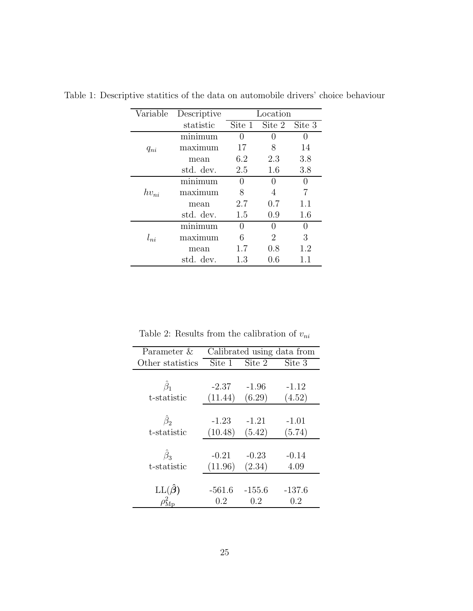| Variable  | Descriptive | Location |                  |          |
|-----------|-------------|----------|------------------|----------|
|           | statistic   | Site 1   | Site 2 Site 3    |          |
|           | minimum     |          |                  |          |
| $q_{ni}$  | maximum     | 17       | 8                | 14       |
|           | mean        | 6.2      | 2.3              | 3.8      |
|           | std. dev.   | 2.5      | 1.6              | 3.8      |
|           | minimum     |          |                  | 0        |
| $hv_{ni}$ | maximum     | 8        |                  |          |
|           | mean        | 2.7      | 0.7              | 1.1      |
|           | std. dev.   | 1.5      | 0.9              | 1.6      |
|           | minimum     |          | $\left( \right)$ | $\theta$ |
| $l_{ni}$  | maximum     | 6        | 2                | 3        |
|           | mean        | 1.7      | 0.8              | 1.2      |
|           | std. dev.   | 1.3      | 0.6              |          |

Table 1: Descriptive statitics of the data on automobile drivers' choice behaviour

Table 2: Results from the calibration of  $v_{ni}$ 

| Parameter &                    | Calibrated using data from |          |          |  |  |  |
|--------------------------------|----------------------------|----------|----------|--|--|--|
| Other statistics               | Site 1                     | Site 2   | Site 3   |  |  |  |
|                                |                            |          |          |  |  |  |
| $\hat{\beta}_1$                | $-2.37$                    | $-1.96$  | $-1.12$  |  |  |  |
| t-statistic                    | (11.44)                    | (6.29)   | (4.52)   |  |  |  |
|                                |                            |          |          |  |  |  |
| $\hat{\beta}_2$                | $-1.23$                    | $-1.21$  | $-1.01$  |  |  |  |
| t-statistic                    | (10.48)                    | (5.42)   | (5.74)   |  |  |  |
|                                |                            |          |          |  |  |  |
| $\hat{\beta}_3$                | $-0.21$                    | $-0.23$  | $-0.14$  |  |  |  |
| t-statistic                    | (11.96)                    | (2.34)   | 4.09     |  |  |  |
|                                |                            |          |          |  |  |  |
| $LL(\hat{\boldsymbol{\beta}})$ | $-561.6$                   | $-155.6$ | $-137.6$ |  |  |  |
|                                | 0.2                        | 0.2      | 0.2      |  |  |  |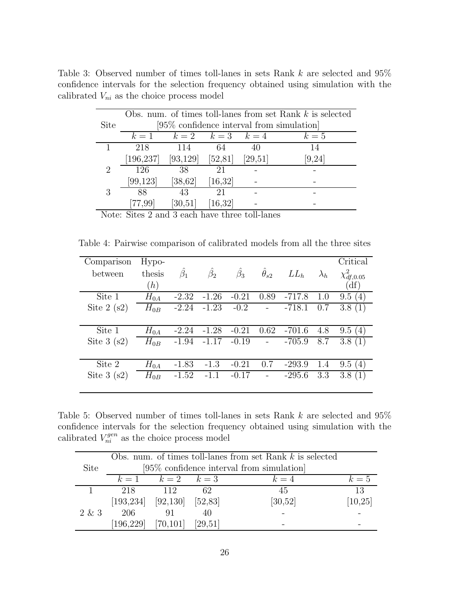Table 3: Observed number of times toll-lanes in sets Rank k are selected and 95% confidence intervals for the selection frequency obtained using simulation with the calibrated  $V_{ni}$  as the choice process model

| [95\%] confidence interval from simulation] |          |          |              |                                                                                                                          |  |  |  |
|---------------------------------------------|----------|----------|--------------|--------------------------------------------------------------------------------------------------------------------------|--|--|--|
|                                             |          |          |              | $k=5$                                                                                                                    |  |  |  |
| 218                                         | 114      | 64       |              |                                                                                                                          |  |  |  |
| [196, 237]                                  |          |          | [29,51]      | [9,24]                                                                                                                   |  |  |  |
| 126                                         | 38       | 21       |              |                                                                                                                          |  |  |  |
| [99, 123]                                   | [38, 62] | [16, 32] |              |                                                                                                                          |  |  |  |
| 88                                          | 43       | 21       |              |                                                                                                                          |  |  |  |
| [77,99]                                     | [30,51]  | [16, 32] |              |                                                                                                                          |  |  |  |
|                                             |          |          | $\mathbf{C}$ | Obs. num. of times toll-lanes from set Rank $k$ is selected<br>$k = 1$ $k = 2$ $k = 3$ $k = 4$<br>$[93, 129]$ $[52, 81]$ |  |  |  |

Note: Sites 2 and 3 each have three toll-lanes

Table 4: Pairwise comparison of calibrated models from all the three sites

| Comparison   | Hypo-    |                 |                 |                 |                     |                 |             | Critical           |
|--------------|----------|-----------------|-----------------|-----------------|---------------------|-----------------|-------------|--------------------|
| between      | thesis   | $\hat{\beta_1}$ | $\hat{\beta_2}$ | $\hat{\beta_3}$ | $\hat{\theta}_{s2}$ | LL <sub>h</sub> | $\lambda_h$ | $\chi^2_{df,0.05}$ |
|              | (h)      |                 |                 |                 |                     |                 |             | df                 |
| Site 1       | $H_{0A}$ | $-2.32$         | $-1.26$         | $-0.21$         | 0.89                | $-717.8$        | 1.0         | 9.5(4)             |
| Site $2(s2)$ | $H_{0B}$ | $-2.24$         | $-1.23$         | $-0.2$          |                     | $-718.1$        | 0.7         | 3.8                |
|              |          |                 |                 |                 |                     |                 |             |                    |
| Site 1       | $H_{0A}$ | $-2.24$         | $-1.28$         | $-0.21$         | 0.62                | $-701.6$        | 4.8         | 9.5(4)             |
| Site $3(s2)$ | $H_{0B}$ | $-1.94$         | $-1.17$         | $-0.19$         |                     | $-705.9$        | 8.7         | 3.8(1)             |
|              |          |                 |                 |                 |                     |                 |             |                    |
| Site 2       | $H_{0A}$ | $-1.83$         | $-1.3$          | $-0.21$         | 0.7                 | $-293.9$        | 1.4         | 9.5(4)             |
| Site $3(s2)$ | $H_{0B}$ | $-1.52$         |                 | $-0.17$         |                     | $-295.6$        | 3.3         | 3.8                |
|              |          |                 |                 |                 |                     |                 |             |                    |

Table 5: Observed number of times toll-lanes in sets Rank k are selected and 95% confidence intervals for the selection frequency obtained using simulation with the calibrated  $V_{ni}^{gen}$  as the choice process model

|             | Obs. num. of times toll-lanes from set Rank $k$ is selected |                                     |         |         |          |  |  |
|-------------|-------------------------------------------------------------|-------------------------------------|---------|---------|----------|--|--|
| <b>Site</b> | [95\% confidence interval from simulation]                  |                                     |         |         |          |  |  |
|             |                                                             | $k = 1$ $k = 2$ $k = 3$             |         | $k=4$   | $k=5$    |  |  |
|             | 218                                                         | 112                                 | -62     | 45      | 13       |  |  |
|             |                                                             | $[193, 234]$ $[92, 130]$ $[52, 83]$ |         | [30,52] | [10, 25] |  |  |
| 2 & 3       | 206                                                         |                                     | 40      |         |          |  |  |
|             |                                                             | $[196, 229]$ $[70, 101]$            | [29,51] |         |          |  |  |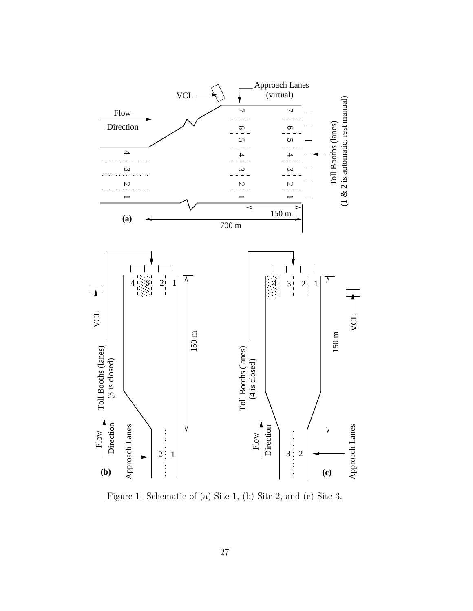

Figure 1: Schematic of (a) Site 1, (b) Site 2, and (c) Site 3.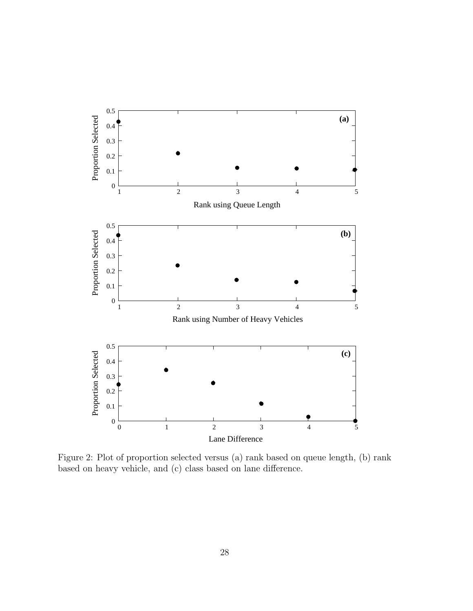

Figure 2: Plot of proportion selected versus (a) rank based on queue length, (b) rank based on heavy vehicle, and (c) class based on lane difference.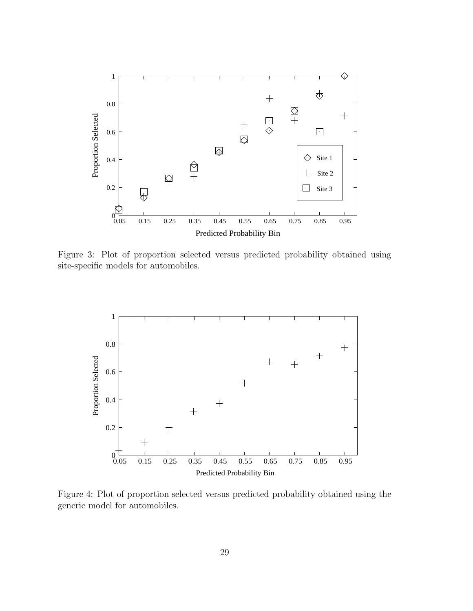

Figure 3: Plot of proportion selected versus predicted probability obtained using site-specific models for automobiles.



Figure 4: Plot of proportion selected versus predicted probability obtained using the generic model for automobiles.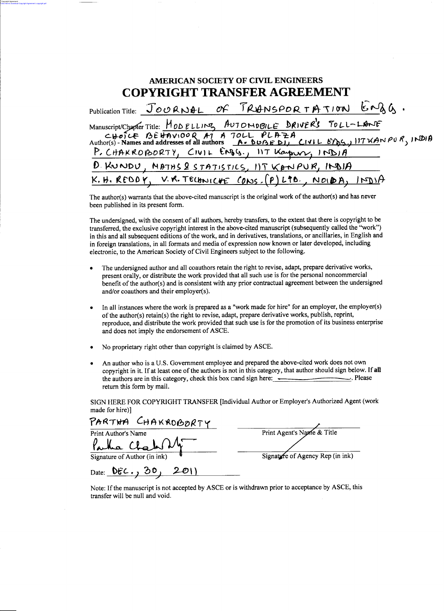# **AMERICAN SOCIETY OF CIVIL ENGINEERS COPYRIGHT TRANSFER AGREEMENT**

Publication Title: JOURNAL OF TRANSPORTATION ENGG Manuscript/Chapter Title: MODELLING AUTOMOBILE DRIVER'S TOLL-LANE<br>CHOICE BEHAVIOUR AT A TOLL PLAZA<br>Author(s)-Names and addresses of all authors <u>A. DUBEDI, CIVIL ENDS, ITTXA</u>NPUR, INDIA<br>P. CHAKROBORTY, CIVIL ENDS., ITT Kay

# D. KUNDU, MATHS & STATISTICS, IIT KANPUR, INDIA K.H. REDDY, V.R. TECHNICHE CONS. (P) LTD., NOIDA,

The author(s) warrants that the above-cited manuscript is the original work of the author(s) and has never been published in its present form.

The undersigned, with the consent of all authors, hereby transfers, to the extent that there is copyright to be transferred, the exclusive copyright interest in the above-cited manuscript (subsequently called the "work") in this and all subsequent editions of the work, and in derivatives, translations, or ancillaries, in English and in foreign translations, in all formats and media of expression now known or later developed, including electronic, to the American Society of Civil Engineers subject to the following.

- The undersigned author and all coauthors retain the right to revise, adapt, prepare derivative works, present orally, or distribute the work provided that all such use is for the personal noncommercial benefit of the author(s) and is consistent with any prior contractual agreement between the undersigned and/or coauthors and their employer(s).
- In all instances where the work is prepared as a "work made for hire" for an employer, the employer(s)

of the author(s) retain(s) the right to revise, adapt, prepare derivative works, publish, reprint, reproduce, and distribute the work provided that such use is for the promotion of its business enterprise and does not imply the endorsement of ASCE.

- No proprietary right other than copyright is claimed by ASCE.
- An author who is a U.S. Government employee and prepared the above-cited work does not own  $\bullet$ copyright in it. If at least one of the authors is not in this category, that author should sign below. If all the authors are in this category, check this box  $\Box$ and sign here:  $\frac{1}{\Box}$  Please. return this form by mail.

SIGN HERE FOR COPYRIGHT TRANSFER [Individual Author or Employer's Authorized Agent (work made for hire)

PARTHA CHAKROBORTY Print Agent's Name & Title **Print Author's Name** Parka Chata Ny Signatyre of Agency Rep (in ink) Signature of Author (in ink)

2 ለ  $2.011$ 

Date:  $DFC.$ 

Note: If the manuscript is not accepted by ASCE or is withdrawn prior to acceptance by ASCE, this transfer will be null and void.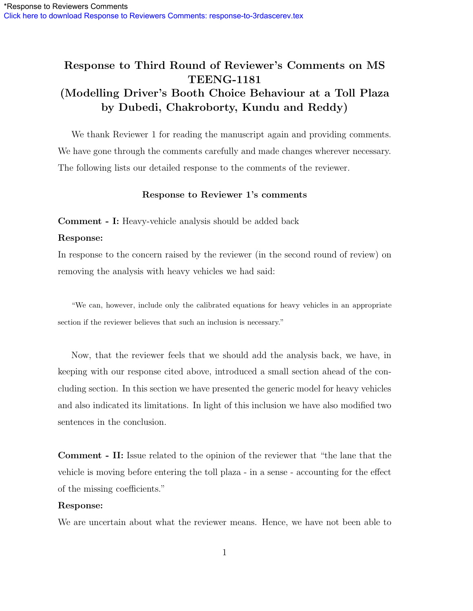# Response to Third Round of Reviewer's Comments on MS TEENG-1181 (Modelling Driver's Booth Choice Behaviour at a Toll Plaza by Dubedi, Chakroborty, Kundu and Reddy)

We thank Reviewer 1 for reading the manuscript again and providing comments. We have gone through the comments carefully and made changes wherever necessary. The following lists our detailed response to the comments of the reviewer.

#### Response to Reviewer 1's comments

Comment - I: Heavy-vehicle analysis should be added back

#### Response:

In response to the concern raised by the reviewer (in the second round of review) on removing the analysis with heavy vehicles we had said:

"We can, however, include only the calibrated equations for heavy vehicles in an appropriate section if the reviewer believes that such an inclusion is necessary."

Now, that the reviewer feels that we should add the analysis back, we have, in keeping with our response cited above, introduced a small section ahead of the concluding section. In this section we have presented the generic model for heavy vehicles and also indicated its limitations. In light of this inclusion we have also modified two sentences in the conclusion.

Comment - II: Issue related to the opinion of the reviewer that "the lane that the vehicle is moving before entering the toll plaza - in a sense - accounting for the effect of the missing coefficients."

#### Response:

We are uncertain about what the reviewer means. Hence, we have not been able to